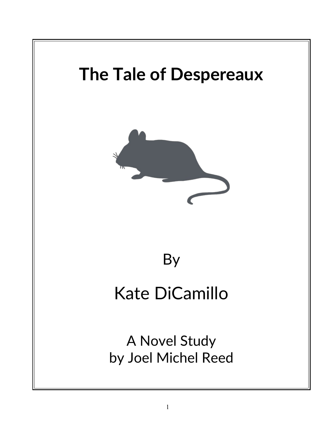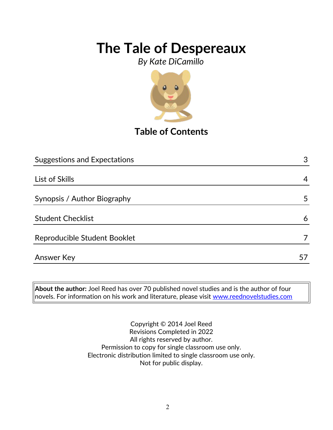*By Kate DiCamillo*



### **Table of Contents**

| <b>Suggestions and Expectations</b> | 3  |
|-------------------------------------|----|
|                                     |    |
| List of Skills                      | 4  |
|                                     |    |
| Synopsis / Author Biography         | 5  |
|                                     |    |
| <b>Student Checklist</b>            | 6  |
| Reproducible Student Booklet        |    |
|                                     |    |
| <b>Answer Key</b>                   | 5/ |

**About the author:** Joel Reed has over 70 published novel studies and is the author of four novels. For information on his work and literature, please visit [www.reednovelstudies.com](http://www.reednovelstudies.com/)

> Copyright © 2014 Joel Reed Revisions Completed in 2022 All rights reserved by author. Permission to copy for single classroom use only. Electronic distribution limited to single classroom use only. Not for public display.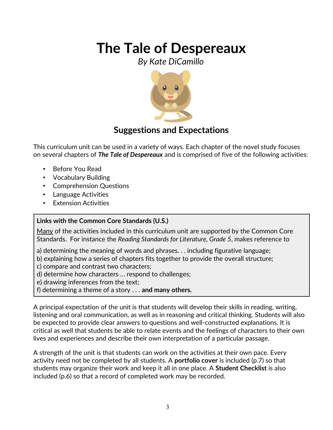*By Kate DiCamillo*



### **Suggestions and Expectations**

This curriculum unit can be used in a variety of ways. Each chapter of the novel study focuses on several chapters of *The Tale of Despereaux* and is comprised of five of the following activities:

- Before You Read
- Vocabulary Building
- Comprehension Questions
- Language Activities
- **Extension Activities**

#### **Links with the Common Core Standards (U.S.)**

Many of the activities included in this curriculum unit are supported by the Common Core Standards. For instance the *Reading Standards for Literature, Grade 5*, makes reference to

- a) determining the meaning of words and phrases. . . including figurative language;
- b) explaining how a series of chapters fits together to provide the overall structure;
- c) compare and contrast two characters;
- d) determine how characters … respond to challenges;
- e) drawing inferences from the text;
- f) determining a theme of a story . . . **and many others.**

A principal expectation of the unit is that students will develop their skills in reading, writing, listening and oral communication, as well as in reasoning and critical thinking. Students will also be expected to provide clear answers to questions and well-constructed explanations. It is critical as well that students be able to relate events and the feelings of characters to their own lives and experiences and describe their own interpretation of a particular passage.

A strength of the unit is that students can work on the activities at their own pace. Every activity need not be completed by all students. A **portfolio cover** is included (p.7) so that students may organize their work and keep it all in one place. A **Student Checklist** is also included (p.6) so that a record of completed work may be recorded.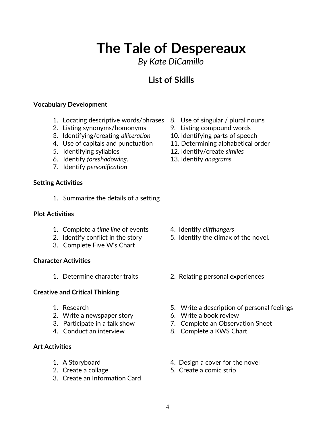*By Kate DiCamillo*

### **List of Skills**

#### **Vocabulary Development**

- 1. Locating descriptive words/phrases 8. Use of singular / plural nouns
- 2. Listing synonyms/homonyms 9. Listing compound words
- 3. Identifying/creating *alliteration* 10. Identifying parts of speech
- 4. Use of capitals and punctuation 11. Determining alphabetical order
- 
- 6. Identify *foreshadowing*. 13. Identify *anagrams*
- 7. Identify *personification*

#### **Setting Activities**

1. Summarize the details of a setting

#### **Plot Activities**

- 1. Complete a *time line* of events 4. Identify *cliffhangers*
- 
- 3. Complete Five W's Chart

#### **Character Activities**

#### **Creative and Critical Thinking**

- 
- 2. Write a newspaper story 6. Write a book review
- 
- 

#### **Art Activities**

- 
- 
- 3. Create an Information Card
- 
- 
- 
- 
- 5. Identifying syllables 12. Identify/create *similes*
	-

- 
- 2. Identify conflict in the story 5. Identify the climax of the novel.
- 1. Determine character traits 2. Relating personal experiences
- 1. Research 5. Write a description of personal feelings
	-
- 3. Participate in a talk show 7. Complete an Observation Sheet
- 4. Conduct an interview 8. Complete a KWS Chart
- 1. A Storyboard **1.** A Storyboard **1.** A Storyboard
- 2. Create a collage 5. Create a comic strip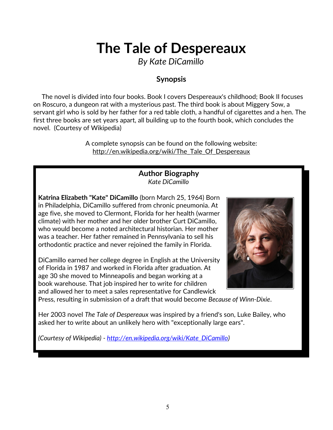*By Kate DiCamillo*

### **Synopsis**

 The novel is divided into four books. Book I covers Despereaux's childhood; Book II focuses on Roscuro, a dungeon rat with a mysterious past. The third book is about Miggery Sow, a servant girl who is sold by her father for a red table cloth, a handful of cigarettes and a hen. The first three books are set years apart, all building up to the fourth book, which concludes the novel. (Courtesy of Wikipedia)

> A complete synopsis can be found on the following website: http://en.wikipedia.org/wiki/The\_Tale\_Of\_Despereaux

#### **Author Biography** *Kate DiCamillo*

**Katrina Elizabeth "Kate" DiCamillo** (born March 25, 1964) Born in Philadelphia, DiCamillo suffered from chronic pneumonia. At age five, she moved to Clermont, Florida for her health (warmer climate) with her mother and her older brother Curt DiCamillo, who would become a noted architectural historian. Her mother was a teacher. Her father remained in Pennsylvania to sell his orthodontic practice and never rejoined the family in Florida.

DiCamillo earned her college degree in English at the University of Florida in 1987 and worked in Florida after graduation. At age 30 she moved to Minneapolis and began working at a book warehouse. That job inspired her to write for children and allowed her to meet a sales representative for Candlewick



Press, resulting in submission of a draft that would become *Because of Winn-Dixie*.

Her 2003 novel *The Tale of Despereaux* was inspired by a friend's son, Luke Bailey, who asked her to write about an unlikely hero with "exceptionally large ears".

*(Courtesy of Wikipedia) - [http://en.wikipedia.org/wiki/Kate\\_DiCamillo\)](http://en.wikipedia.org/wiki/Kate_DiCamillo)*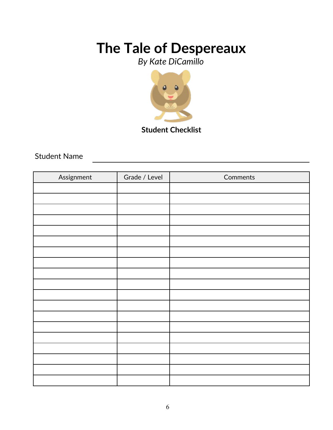*By Kate DiCamillo*



**Student Checklist**

Student Name

| Assignment | Grade / Level | Comments |
|------------|---------------|----------|
|            |               |          |
|            |               |          |
|            |               |          |
|            |               |          |
|            |               |          |
|            |               |          |
|            |               |          |
|            |               |          |
|            |               |          |
|            |               |          |
|            |               |          |
|            |               |          |
|            |               |          |
|            |               |          |
|            |               |          |
|            |               |          |
|            |               |          |
|            |               |          |
|            |               |          |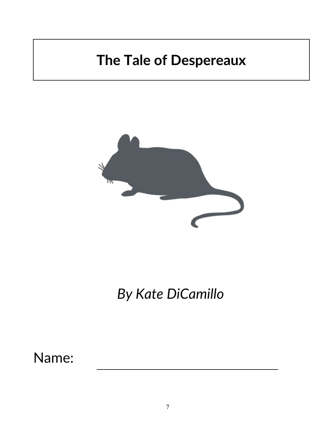

*By Kate DiCamillo*

Name: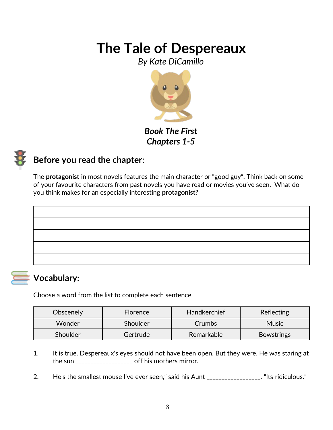*By Kate DiCamillo*



*Book The First Chapters 1-5*



### **Before you read the chapter**:

The **protagonist** in most novels features the main character or "good guy". Think back on some of your favourite characters from past novels you have read or movies you've seen. What do you think makes for an especially interesting **protagonist**?

### **Vocabulary:**

Choose a word from the list to complete each sentence.

| Obscenely | <b>Florence</b> | Handkerchief | <b>Reflecting</b> |
|-----------|-----------------|--------------|-------------------|
| Wonder    | Shoulder        | Crumbs       | <b>Music</b>      |
| Shoulder  | Gertrude        | Remarkable   | <b>Bowstrings</b> |

- 1. It is true. Despereaux's eyes should not have been open. But they were. He was staring at the sun \_\_\_\_\_\_\_\_\_\_\_\_\_\_\_\_\_\_\_\_ off his mothers mirror.
- 2. He's the smallest mouse I've ever seen," said his Aunt \_\_\_\_\_\_\_\_\_\_\_\_\_\_\_\_\_. "Its ridiculous."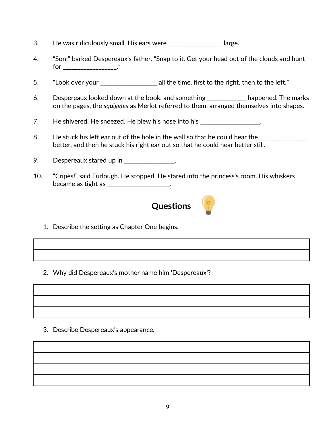- 3. He was ridiculously small. His ears were \_\_\_\_\_\_\_\_\_\_\_\_\_\_\_\_\_\_ large.
- 4. "Son!" barked Despereaux's father. "Snap to it. Get your head out of the clouds and hunt for \_\_\_\_\_\_\_\_\_\_\_\_\_\_\_\_\_\_."
- 5. "Look over your \_\_\_\_\_\_\_\_\_\_\_\_\_\_\_\_\_\_ all the time, first to the right, then to the left."
- 6. Despereaux looked down at the book, and something \_\_\_\_\_\_\_\_\_\_\_\_\_ happened. The marks on the pages, the *squiggles* as Merlot referred to them, arranged themselves into shapes.
- 7. He shivered. He sneezed. He blew his nose into his \_\_\_\_\_\_\_\_\_\_\_\_\_\_\_\_\_\_\_.
- 8. He stuck his left ear out of the hole in the wall so that he could hear the \_\_\_\_\_\_\_\_\_\_\_\_\_\_\_\_\_\_\_\_\_ better, and then he stuck his right ear out so that he could hear better still.
- 9. Despereaux stared up in \_\_\_\_\_\_\_\_\_\_\_\_\_\_\_.
- 10. "Cripes!" said Furlough. He stopped. He stared into the princess's room. His whiskers became as tight as \_\_\_\_\_\_\_\_\_\_\_\_\_\_\_\_\_\_\_.



- 1. Describe the setting as Chapter One begins.
- 2. Why did Despereaux's mother name him 'Despereaux'?

3. Describe Despereaux's appearance.

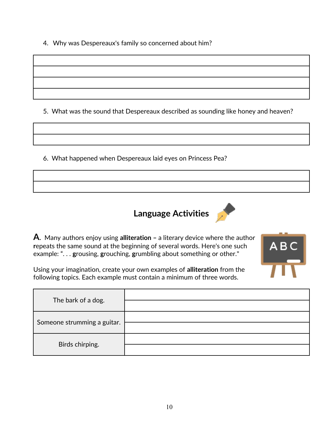4. Why was Despereaux's family so concerned about him?

5. What was the sound that Despereaux described as sounding like honey and heaven?

6. What happened when Despereaux laid eyes on Princess Pea?





**A**. Many authors enjoy using **alliteration –** a literary device where the author **r**epeats the same sound at the beginning of several words. Here's one such example: ". . . **g**rousing, **g**rouching, **g**rumbling about something or other."



Using your imagination, create your own examples of **alliteration** from the following topics. Each example must contain a minimum of three words.

| The bark of a dog.          |  |
|-----------------------------|--|
| Someone strumming a guitar. |  |
| Birds chirping.             |  |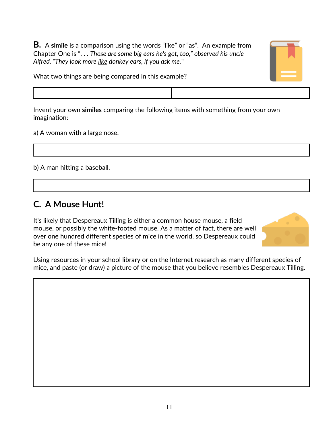**B.** A **simile** is a comparison using the words "like" or "as". An example from Chapter One is ". . . *Those are some big ears he's got, too," observed his uncle Alfred. "They look more like donkey ears, if you ask me.*"





Invent your own **similes** comparing the following items with something from your own imagination:

a) A woman with a large nose.

b) A man hitting a baseball.

### **C. A Mouse Hunt!**

It's likely that Despereaux Tilling is either a common house mouse, a field mouse, or possibly the white-footed mouse. As a matter of fact, there are well over one hundred different species of mice in the world, so Despereaux could be any one of these mice!



Using resources in your school library or on the Internet research as many different species of mice, and paste (or draw) a picture of the mouse that you believe resembles Despereaux Tilling.